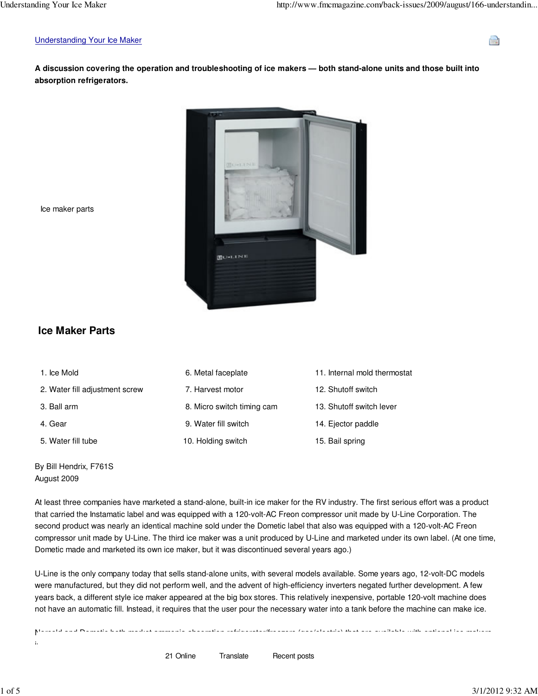#### Understanding Your Ice Maker

**A discussion covering the operation and troubleshooting of ice makers — both stand-alone units and those built into absorption refrigerators.**



Ice maker parts

# **Ice Maker Parts**

 1. Ice Mold 6. Metal faceplate 11. Internal mold thermostat 2. Water fill adjustment screw 7. Harvest motor 12. Shutoff switch 3. Ball arm 6. Micro switch timing cam 13. Shutoff switch lever 4. Gear 9. Water fill switch 14. Ejector paddle 5. Water fill tube 10. Holding switch 15. Bail spring

By Bill Hendrix, F761S August 2009

At least three companies have marketed a stand-alone, built-in ice maker for the RV industry. The first serious effort was a product that carried the Instamatic label and was equipped with a 120-volt-AC Freon compressor unit made by U-Line Corporation. The second product was nearly an identical machine sold under the Dometic label that also was equipped with a 120-volt-AC Freon compressor unit made by U-Line. The third ice maker was a unit produced by U-Line and marketed under its own label. (At one time, Dometic made and marketed its own ice maker, but it was discontinued several years ago.)

U-Line is the only company today that sells stand-alone units, with several models available. Some years ago, 12-volt-DC models were manufactured, but they did not perform well, and the advent of high-efficiency inverters negated further development. A few years back, a different style ice maker appeared at the big box stores. This relatively inexpensive, portable 120-volt machine does not have an automatic fill. Instead, it requires that the user pour the necessary water into a tank before the machine can make ice.

Norcold and Dometic both market ammonia absorption refrigerator/freezers (gas/electric) that are available with optional ice makers

in certain models. In these setups, the ice maker does not require its own cooling unit, since it operates within the freezer 21 Online Translate Recent posts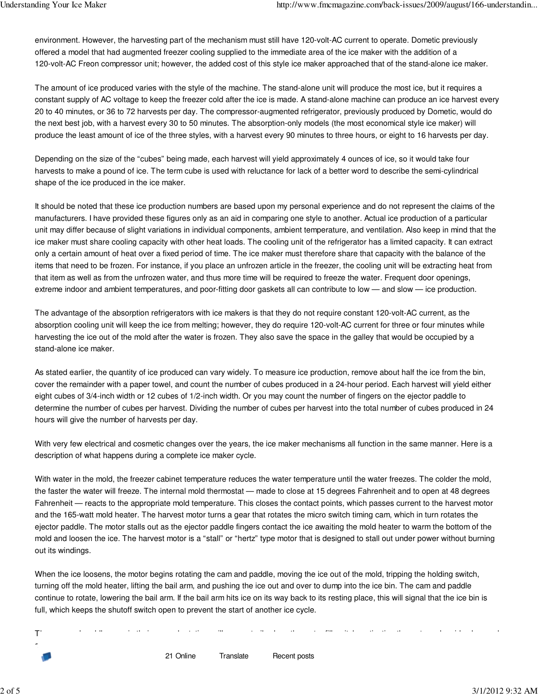environment. However, the harvesting part of the mechanism must still have 120-volt-AC current to operate. Dometic previously offered a model that had augmented freezer cooling supplied to the immediate area of the ice maker with the addition of a 120-volt-AC Freon compressor unit; however, the added cost of this style ice maker approached that of the stand-alone ice maker.

The amount of ice produced varies with the style of the machine. The stand-alone unit will produce the most ice, but it requires a constant supply of AC voltage to keep the freezer cold after the ice is made. A stand-alone machine can produce an ice harvest every 20 to 40 minutes, or 36 to 72 harvests per day. The compressor-augmented refrigerator, previously produced by Dometic, would do the next best job, with a harvest every 30 to 50 minutes. The absorption-only models (the most economical style ice maker) will produce the least amount of ice of the three styles, with a harvest every 90 minutes to three hours, or eight to 16 harvests per day.

Depending on the size of the "cubes" being made, each harvest will yield approximately 4 ounces of ice, so it would take four harvests to make a pound of ice. The term cube is used with reluctance for lack of a better word to describe the semi-cylindrical shape of the ice produced in the ice maker.

It should be noted that these ice production numbers are based upon my personal experience and do not represent the claims of the manufacturers. I have provided these figures only as an aid in comparing one style to another. Actual ice production of a particular unit may differ because of slight variations in individual components, ambient temperature, and ventilation. Also keep in mind that the ice maker must share cooling capacity with other heat loads. The cooling unit of the refrigerator has a limited capacity. It can extract only a certain amount of heat over a fixed period of time. The ice maker must therefore share that capacity with the balance of the items that need to be frozen. For instance, if you place an unfrozen article in the freezer, the cooling unit will be extracting heat from that item as well as from the unfrozen water, and thus more time will be required to freeze the water. Frequent door openings, extreme indoor and ambient temperatures, and poor-fitting door gaskets all can contribute to low — and slow — ice production.

The advantage of the absorption refrigerators with ice makers is that they do not require constant 120-volt-AC current, as the absorption cooling unit will keep the ice from melting; however, they do require 120-volt-AC current for three or four minutes while harvesting the ice out of the mold after the water is frozen. They also save the space in the galley that would be occupied by a stand-alone ice maker.

As stated earlier, the quantity of ice produced can vary widely. To measure ice production, remove about half the ice from the bin, cover the remainder with a paper towel, and count the number of cubes produced in a 24-hour period. Each harvest will yield either eight cubes of 3/4-inch width or 12 cubes of 1/2-inch width. Or you may count the number of fingers on the ejector paddle to determine the number of cubes per harvest. Dividing the number of cubes per harvest into the total number of cubes produced in 24 hours will give the number of harvests per day.

With very few electrical and cosmetic changes over the years, the ice maker mechanisms all function in the same manner. Here is a description of what happens during a complete ice maker cycle.

With water in the mold, the freezer cabinet temperature reduces the water temperature until the water freezes. The colder the mold, the faster the water will freeze. The internal mold thermostat — made to close at 15 degrees Fahrenheit and to open at 48 degrees Fahrenheit — reacts to the appropriate mold temperature. This closes the contact points, which passes current to the harvest motor and the 165-watt mold heater. The harvest motor turns a gear that rotates the micro switch timing cam, which in turn rotates the ejector paddle. The motor stalls out as the ejector paddle fingers contact the ice awaiting the mold heater to warm the bottom of the mold and loosen the ice. The harvest motor is a "stall" or "hertz" type motor that is designed to stall out under power without burning out its windings.

When the ice loosens, the motor begins rotating the cam and paddle, moving the ice out of the mold, tripping the holding switch, turning off the mold heater, lifting the bail arm, and pushing the ice out and over to dump into the ice bin. The cam and paddle continue to rotate, lowering the bail arm. If the bail arm hits ice on its way back to its resting place, this will signal that the ice bin is full, which keeps the shutoff switch open to prevent the start of another ice cycle.

allowing water to flow into the mold. This will thereby warm and reset the mold temperature thermostat. The residual warmth of the

21 Online Translate Recent posts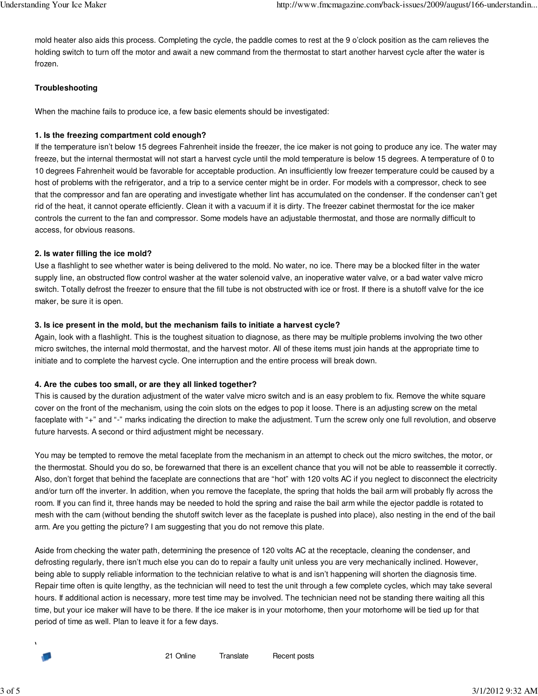mold heater also aids this process. Completing the cycle, the paddle comes to rest at the 9 o'clock position as the cam relieves the holding switch to turn off the motor and await a new command from the thermostat to start another harvest cycle after the water is frozen.

### **Troubleshooting**

When the machine fails to produce ice, a few basic elements should be investigated:

## **1. Is the freezing compartment cold enough?**

If the temperature isn't below 15 degrees Fahrenheit inside the freezer, the ice maker is not going to produce any ice. The water may freeze, but the internal thermostat will not start a harvest cycle until the mold temperature is below 15 degrees. A temperature of 0 to 10 degrees Fahrenheit would be favorable for acceptable production. An insufficiently low freezer temperature could be caused by a host of problems with the refrigerator, and a trip to a service center might be in order. For models with a compressor, check to see that the compressor and fan are operating and investigate whether lint has accumulated on the condenser. If the condenser can't get rid of the heat, it cannot operate efficiently. Clean it with a vacuum if it is dirty. The freezer cabinet thermostat for the ice maker controls the current to the fan and compressor. Some models have an adjustable thermostat, and those are normally difficult to access, for obvious reasons.

## **2. Is water filling the ice mold?**

Use a flashlight to see whether water is being delivered to the mold. No water, no ice. There may be a blocked filter in the water supply line, an obstructed flow control washer at the water solenoid valve, an inoperative water valve, or a bad water valve micro switch. Totally defrost the freezer to ensure that the fill tube is not obstructed with ice or frost. If there is a shutoff valve for the ice maker, be sure it is open.

## **3. Is ice present in the mold, but the mechanism fails to initiate a harvest cycle?**

Again, look with a flashlight. This is the toughest situation to diagnose, as there may be multiple problems involving the two other micro switches, the internal mold thermostat, and the harvest motor. All of these items must join hands at the appropriate time to initiate and to complete the harvest cycle. One interruption and the entire process will break down.

## **4. Are the cubes too small, or are they all linked together?**

This is caused by the duration adjustment of the water valve micro switch and is an easy problem to fix. Remove the white square cover on the front of the mechanism, using the coin slots on the edges to pop it loose. There is an adjusting screw on the metal faceplate with "+" and "-" marks indicating the direction to make the adjustment. Turn the screw only one full revolution, and observe future harvests. A second or third adjustment might be necessary.

You may be tempted to remove the metal faceplate from the mechanism in an attempt to check out the micro switches, the motor, or the thermostat. Should you do so, be forewarned that there is an excellent chance that you will not be able to reassemble it correctly. Also, don't forget that behind the faceplate are connections that are "hot" with 120 volts AC if you neglect to disconnect the electricity and/or turn off the inverter. In addition, when you remove the faceplate, the spring that holds the bail arm will probably fly across the room. If you can find it, three hands may be needed to hold the spring and raise the bail arm while the ejector paddle is rotated to mesh with the cam (without bending the shutoff switch lever as the faceplate is pushed into place), also nesting in the end of the bail arm. Are you getting the picture? I am suggesting that you do not remove this plate.

Aside from checking the water path, determining the presence of 120 volts AC at the receptacle, cleaning the condenser, and defrosting regularly, there isn't much else you can do to repair a faulty unit unless you are very mechanically inclined. However, being able to supply reliable information to the technician relative to what is and isn't happening will shorten the diagnosis time. Repair time often is quite lengthy, as the technician will need to test the unit through a few complete cycles, which may take several hours. If additional action is necessary, more test time may be involved. The technician need not be standing there waiting all this time, but your ice maker will have to be there. If the ice maker is in your motorhome, then your motorhome will be tied up for that period of time as well. Plan to leave it for a few days.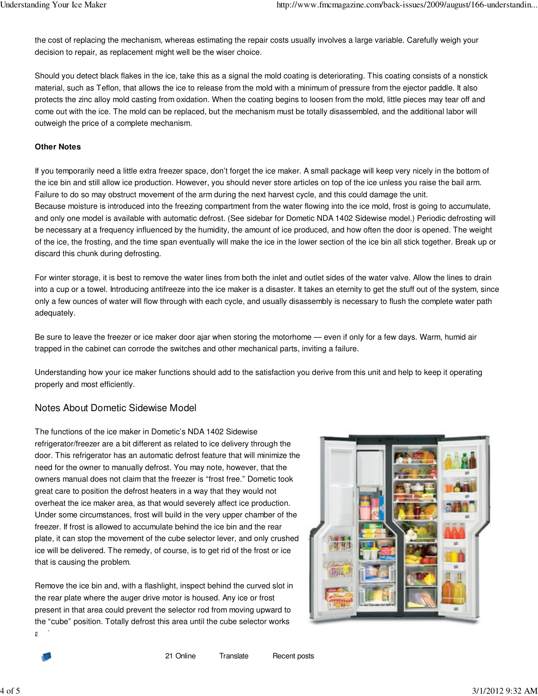the cost of replacing the mechanism, whereas estimating the repair costs usually involves a large variable. Carefully weigh your decision to repair, as replacement might well be the wiser choice.

Should you detect black flakes in the ice, take this as a signal the mold coating is deteriorating. This coating consists of a nonstick material, such as Teflon, that allows the ice to release from the mold with a minimum of pressure from the ejector paddle. It also protects the zinc alloy mold casting from oxidation. When the coating begins to loosen from the mold, little pieces may tear off and come out with the ice. The mold can be replaced, but the mechanism must be totally disassembled, and the additional labor will outweigh the price of a complete mechanism.

#### **Other Notes**

If you temporarily need a little extra freezer space, don't forget the ice maker. A small package will keep very nicely in the bottom of the ice bin and still allow ice production. However, you should never store articles on top of the ice unless you raise the bail arm. Failure to do so may obstruct movement of the arm during the next harvest cycle, and this could damage the unit. Because moisture is introduced into the freezing compartment from the water flowing into the ice mold, frost is going to accumulate, and only one model is available with automatic defrost. (See sidebar for Dometic NDA 1402 Sidewise model.) Periodic defrosting will be necessary at a frequency influenced by the humidity, the amount of ice produced, and how often the door is opened. The weight of the ice, the frosting, and the time span eventually will make the ice in the lower section of the ice bin all stick together. Break up or discard this chunk during defrosting.

For winter storage, it is best to remove the water lines from both the inlet and outlet sides of the water valve. Allow the lines to drain into a cup or a towel. Introducing antifreeze into the ice maker is a disaster. It takes an eternity to get the stuff out of the system, since only a few ounces of water will flow through with each cycle, and usually disassembly is necessary to flush the complete water path adequately.

Be sure to leave the freezer or ice maker door ajar when storing the motorhome — even if only for a few days. Warm, humid air trapped in the cabinet can corrode the switches and other mechanical parts, inviting a failure.

Understanding how your ice maker functions should add to the satisfaction you derive from this unit and help to keep it operating properly and most efficiently.

## Notes About Dometic Sidewise Model

The functions of the ice maker in Dometic's NDA 1402 Sidewise refrigerator/freezer are a bit different as related to ice delivery through the door. This refrigerator has an automatic defrost feature that will minimize the need for the owner to manually defrost. You may note, however, that the owners manual does not claim that the freezer is "frost free." Dometic took great care to position the defrost heaters in a way that they would not overheat the ice maker area, as that would severely affect ice production. Under some circumstances, frost will build in the very upper chamber of the freezer. If frost is allowed to accumulate behind the ice bin and the rear plate, it can stop the movement of the cube selector lever, and only crushed ice will be delivered. The remedy, of course, is to get rid of the frost or ice that is causing the problem.

Remove the ice bin and, with a flashlight, inspect behind the curved slot in the rear plate where the auger drive motor is housed. Any ice or frost present in that area could prevent the selector rod from moving upward to the "cube" position. Totally defrost this area until the cube selector works again.